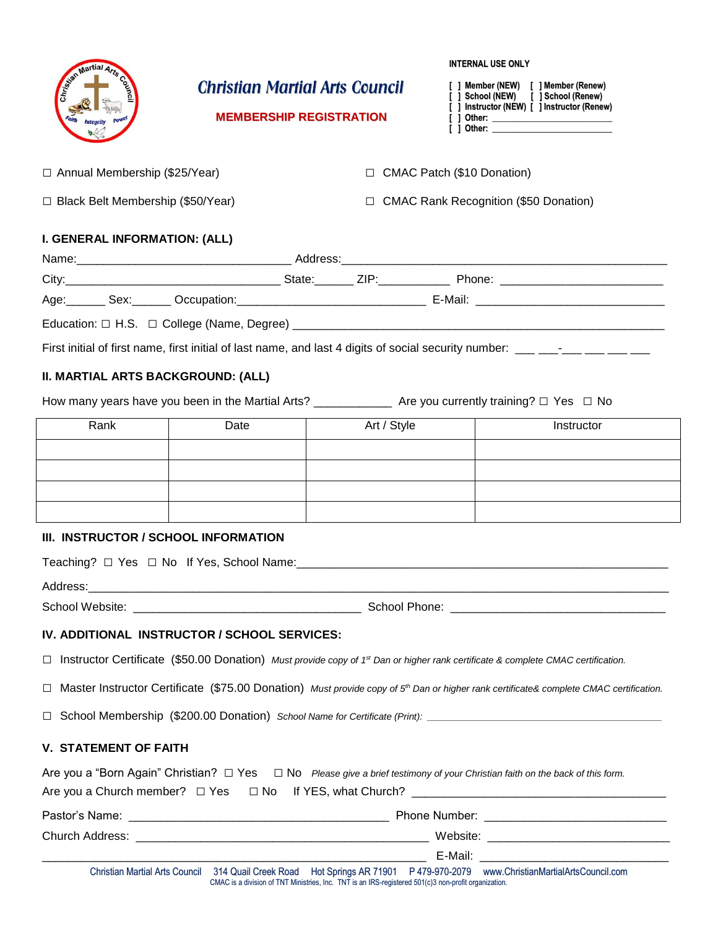| Seizen Martial                           | <b>Christian Martial Arts Council</b><br><b>MEMBERSHIP REGISTRATION</b>               |                                                                                                      |                            | <b>INTERNAL USE ONLY</b><br>[ ] Member (NEW) [ ] Member (Renew)<br>[ ] School (NEW) [ ] School (Renew)<br>[ ] Instructor (NEW) [ ] Instructor (Renew) |  |  |  |
|------------------------------------------|---------------------------------------------------------------------------------------|------------------------------------------------------------------------------------------------------|----------------------------|-------------------------------------------------------------------------------------------------------------------------------------------------------|--|--|--|
| □ Annual Membership (\$25/Year)          |                                                                                       | $\Box$                                                                                               | CMAC Patch (\$10 Donation) |                                                                                                                                                       |  |  |  |
| $\Box$ Black Belt Membership (\$50/Year) |                                                                                       | $\Box$                                                                                               |                            | <b>CMAC Rank Recognition (\$50 Donation)</b>                                                                                                          |  |  |  |
| <b>I. GENERAL INFORMATION: (ALL)</b>     |                                                                                       |                                                                                                      |                            |                                                                                                                                                       |  |  |  |
|                                          |                                                                                       |                                                                                                      |                            |                                                                                                                                                       |  |  |  |
|                                          |                                                                                       |                                                                                                      |                            |                                                                                                                                                       |  |  |  |
|                                          |                                                                                       |                                                                                                      |                            |                                                                                                                                                       |  |  |  |
|                                          |                                                                                       |                                                                                                      |                            |                                                                                                                                                       |  |  |  |
|                                          |                                                                                       |                                                                                                      |                            | First initial of first name, first initial of last name, and last 4 digits of social security number: ___ ___-__ ___ ___ __                           |  |  |  |
| II. MARTIAL ARTS BACKGROUND: (ALL)       |                                                                                       |                                                                                                      |                            |                                                                                                                                                       |  |  |  |
|                                          |                                                                                       |                                                                                                      |                            |                                                                                                                                                       |  |  |  |
|                                          |                                                                                       |                                                                                                      |                            |                                                                                                                                                       |  |  |  |
| Rank                                     | Date                                                                                  | Art / Style                                                                                          |                            | Instructor                                                                                                                                            |  |  |  |
|                                          |                                                                                       |                                                                                                      |                            |                                                                                                                                                       |  |  |  |
|                                          |                                                                                       |                                                                                                      |                            |                                                                                                                                                       |  |  |  |
|                                          |                                                                                       |                                                                                                      |                            |                                                                                                                                                       |  |  |  |
|                                          |                                                                                       |                                                                                                      |                            |                                                                                                                                                       |  |  |  |
| III. INSTRUCTOR / SCHOOL INFORMATION     |                                                                                       |                                                                                                      |                            |                                                                                                                                                       |  |  |  |
|                                          | Teaching? $\Box$ Yes $\Box$ No If Yes, School Name: _________________________________ |                                                                                                      |                            |                                                                                                                                                       |  |  |  |
|                                          |                                                                                       |                                                                                                      |                            |                                                                                                                                                       |  |  |  |
|                                          |                                                                                       |                                                                                                      |                            |                                                                                                                                                       |  |  |  |
|                                          |                                                                                       |                                                                                                      |                            |                                                                                                                                                       |  |  |  |
|                                          | IV. ADDITIONAL INSTRUCTOR / SCHOOL SERVICES:                                          |                                                                                                      |                            |                                                                                                                                                       |  |  |  |
| $\Box$                                   |                                                                                       |                                                                                                      |                            | Instructor Certificate (\$50.00 Donation) Must provide copy of 1st Dan or higher rank certificate & complete CMAC certification.                      |  |  |  |
| $\Box$                                   |                                                                                       |                                                                                                      |                            | Master Instructor Certificate (\$75.00 Donation) Must provide copy of 5 <sup>th</sup> Dan or higher rank certificate& complete CMAC certification.    |  |  |  |
| $\Box$                                   |                                                                                       |                                                                                                      |                            |                                                                                                                                                       |  |  |  |
|                                          |                                                                                       |                                                                                                      |                            |                                                                                                                                                       |  |  |  |
| <b>V. STATEMENT OF FAITH</b>             |                                                                                       |                                                                                                      |                            |                                                                                                                                                       |  |  |  |
|                                          |                                                                                       |                                                                                                      |                            | Are you a "Born Again" Christian? $\Box$ Yes $\Box$ No Please give a brief testimony of your Christian faith on the back of this form.                |  |  |  |
|                                          |                                                                                       |                                                                                                      |                            |                                                                                                                                                       |  |  |  |
|                                          |                                                                                       |                                                                                                      |                            |                                                                                                                                                       |  |  |  |
|                                          |                                                                                       |                                                                                                      |                            |                                                                                                                                                       |  |  |  |
|                                          |                                                                                       |                                                                                                      |                            |                                                                                                                                                       |  |  |  |
| <b>Christian Martial Arts Council</b>    |                                                                                       | CMAC is a division of TNT Ministries, Inc. TNT is an IRS-registered 501(c)3 non-profit organization. |                            | 314 Quail Creek Road Hot Springs AR 71901 P 479-970-2079 www.ChristianMartialArtsCouncil.com                                                          |  |  |  |